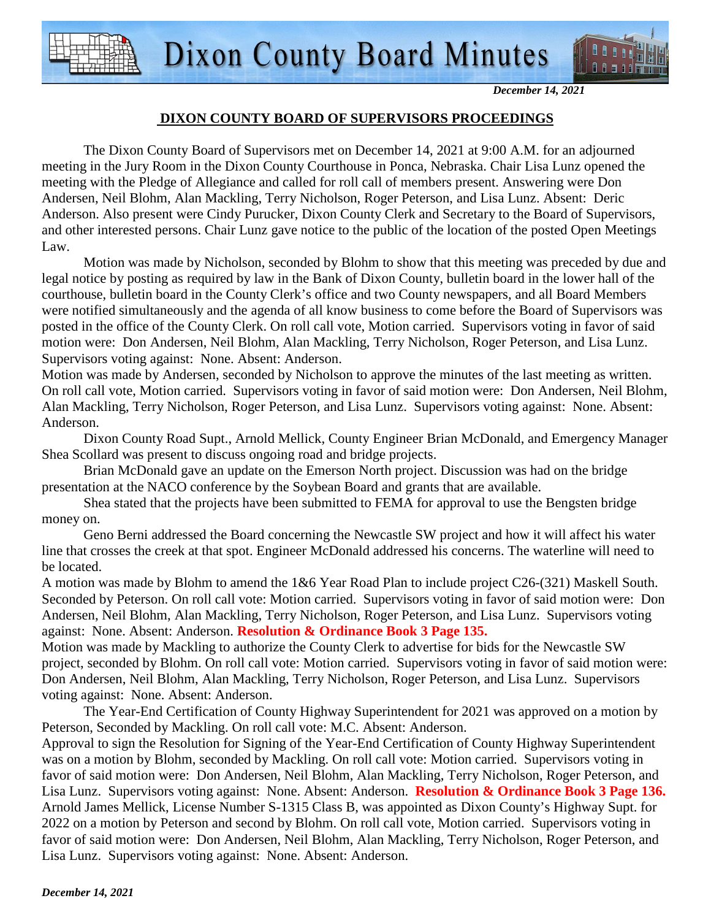

*December 14, 2021* 

### **DIXON COUNTY BOARD OF SUPERVISORS PROCEEDINGS**

 The Dixon County Board of Supervisors met on December 14, 2021 at 9:00 A.M. for an adjourned meeting in the Jury Room in the Dixon County Courthouse in Ponca, Nebraska. Chair Lisa Lunz opened the meeting with the Pledge of Allegiance and called for roll call of members present. Answering were Don Andersen, Neil Blohm, Alan Mackling, Terry Nicholson, Roger Peterson, and Lisa Lunz. Absent: Deric Anderson. Also present were Cindy Purucker, Dixon County Clerk and Secretary to the Board of Supervisors, and other interested persons. Chair Lunz gave notice to the public of the location of the posted Open Meetings Law.

 Motion was made by Nicholson, seconded by Blohm to show that this meeting was preceded by due and legal notice by posting as required by law in the Bank of Dixon County, bulletin board in the lower hall of the courthouse, bulletin board in the County Clerk's office and two County newspapers, and all Board Members were notified simultaneously and the agenda of all know business to come before the Board of Supervisors was posted in the office of the County Clerk. On roll call vote, Motion carried. Supervisors voting in favor of said motion were: Don Andersen, Neil Blohm, Alan Mackling, Terry Nicholson, Roger Peterson, and Lisa Lunz. Supervisors voting against: None. Absent: Anderson.

Motion was made by Andersen, seconded by Nicholson to approve the minutes of the last meeting as written. On roll call vote, Motion carried. Supervisors voting in favor of said motion were: Don Andersen, Neil Blohm, Alan Mackling, Terry Nicholson, Roger Peterson, and Lisa Lunz. Supervisors voting against: None. Absent: Anderson.

Dixon County Road Supt., Arnold Mellick, County Engineer Brian McDonald, and Emergency Manager Shea Scollard was present to discuss ongoing road and bridge projects.

Brian McDonald gave an update on the Emerson North project. Discussion was had on the bridge presentation at the NACO conference by the Soybean Board and grants that are available.

Shea stated that the projects have been submitted to FEMA for approval to use the Bengsten bridge money on.

Geno Berni addressed the Board concerning the Newcastle SW project and how it will affect his water line that crosses the creek at that spot. Engineer McDonald addressed his concerns. The waterline will need to be located.

A motion was made by Blohm to amend the 1&6 Year Road Plan to include project C26-(321) Maskell South. Seconded by Peterson. On roll call vote: Motion carried. Supervisors voting in favor of said motion were: Don Andersen, Neil Blohm, Alan Mackling, Terry Nicholson, Roger Peterson, and Lisa Lunz. Supervisors voting against: None. Absent: Anderson. **Resolution & Ordinance Book 3 Page 135.**

Motion was made by Mackling to authorize the County Clerk to advertise for bids for the Newcastle SW project, seconded by Blohm. On roll call vote: Motion carried. Supervisors voting in favor of said motion were: Don Andersen, Neil Blohm, Alan Mackling, Terry Nicholson, Roger Peterson, and Lisa Lunz. Supervisors voting against: None. Absent: Anderson.

The Year-End Certification of County Highway Superintendent for 2021 was approved on a motion by Peterson, Seconded by Mackling. On roll call vote: M.C. Absent: Anderson.

Approval to sign the Resolution for Signing of the Year-End Certification of County Highway Superintendent was on a motion by Blohm, seconded by Mackling. On roll call vote: Motion carried. Supervisors voting in favor of said motion were: Don Andersen, Neil Blohm, Alan Mackling, Terry Nicholson, Roger Peterson, and Lisa Lunz. Supervisors voting against: None. Absent: Anderson. **Resolution & Ordinance Book 3 Page 136.** Arnold James Mellick, License Number S-1315 Class B, was appointed as Dixon County's Highway Supt. for 2022 on a motion by Peterson and second by Blohm. On roll call vote, Motion carried. Supervisors voting in favor of said motion were: Don Andersen, Neil Blohm, Alan Mackling, Terry Nicholson, Roger Peterson, and Lisa Lunz. Supervisors voting against: None. Absent: Anderson.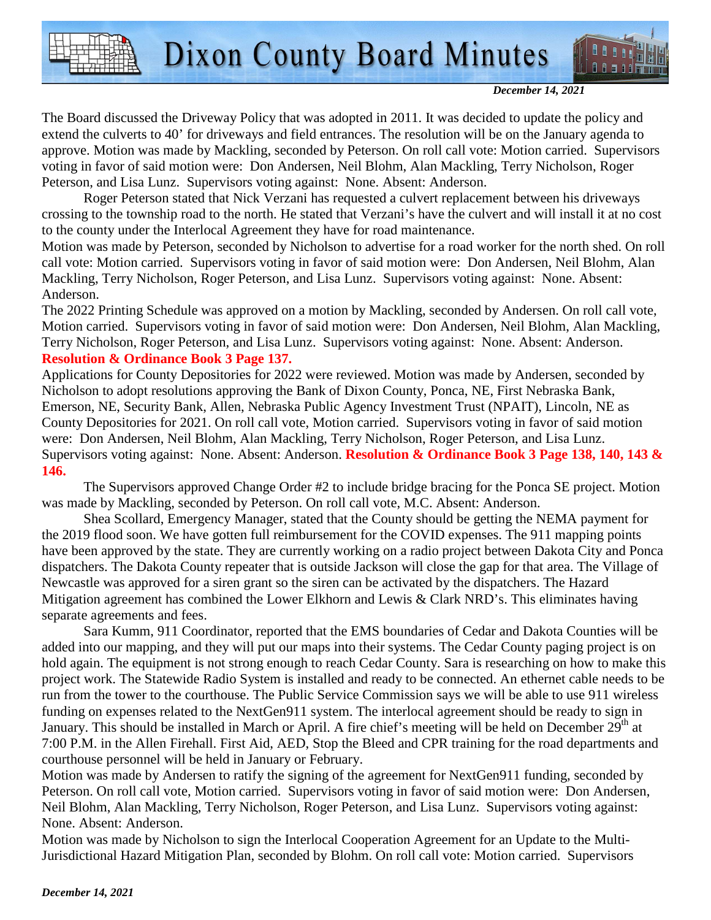

*December 14, 2021* 

The Board discussed the Driveway Policy that was adopted in 2011. It was decided to update the policy and extend the culverts to 40' for driveways and field entrances. The resolution will be on the January agenda to approve. Motion was made by Mackling, seconded by Peterson. On roll call vote: Motion carried. Supervisors voting in favor of said motion were: Don Andersen, Neil Blohm, Alan Mackling, Terry Nicholson, Roger Peterson, and Lisa Lunz. Supervisors voting against: None. Absent: Anderson.

Roger Peterson stated that Nick Verzani has requested a culvert replacement between his driveways crossing to the township road to the north. He stated that Verzani's have the culvert and will install it at no cost to the county under the Interlocal Agreement they have for road maintenance.

Motion was made by Peterson, seconded by Nicholson to advertise for a road worker for the north shed. On roll call vote: Motion carried. Supervisors voting in favor of said motion were: Don Andersen, Neil Blohm, Alan Mackling, Terry Nicholson, Roger Peterson, and Lisa Lunz. Supervisors voting against: None. Absent: Anderson.

The 2022 Printing Schedule was approved on a motion by Mackling, seconded by Andersen. On roll call vote, Motion carried. Supervisors voting in favor of said motion were: Don Andersen, Neil Blohm, Alan Mackling, Terry Nicholson, Roger Peterson, and Lisa Lunz. Supervisors voting against: None. Absent: Anderson. **Resolution & Ordinance Book 3 Page 137.**

Applications for County Depositories for 2022 were reviewed. Motion was made by Andersen, seconded by Nicholson to adopt resolutions approving the Bank of Dixon County, Ponca, NE, First Nebraska Bank, Emerson, NE, Security Bank, Allen, Nebraska Public Agency Investment Trust (NPAIT), Lincoln, NE as County Depositories for 2021. On roll call vote, Motion carried. Supervisors voting in favor of said motion were: Don Andersen, Neil Blohm, Alan Mackling, Terry Nicholson, Roger Peterson, and Lisa Lunz. Supervisors voting against: None. Absent: Anderson. **Resolution & Ordinance Book 3 Page 138, 140, 143 & 146.**

The Supervisors approved Change Order #2 to include bridge bracing for the Ponca SE project. Motion was made by Mackling, seconded by Peterson. On roll call vote, M.C. Absent: Anderson.

Shea Scollard, Emergency Manager, stated that the County should be getting the NEMA payment for the 2019 flood soon. We have gotten full reimbursement for the COVID expenses. The 911 mapping points have been approved by the state. They are currently working on a radio project between Dakota City and Ponca dispatchers. The Dakota County repeater that is outside Jackson will close the gap for that area. The Village of Newcastle was approved for a siren grant so the siren can be activated by the dispatchers. The Hazard Mitigation agreement has combined the Lower Elkhorn and Lewis & Clark NRD's. This eliminates having separate agreements and fees.

Sara Kumm, 911 Coordinator, reported that the EMS boundaries of Cedar and Dakota Counties will be added into our mapping, and they will put our maps into their systems. The Cedar County paging project is on hold again. The equipment is not strong enough to reach Cedar County. Sara is researching on how to make this project work. The Statewide Radio System is installed and ready to be connected. An ethernet cable needs to be run from the tower to the courthouse. The Public Service Commission says we will be able to use 911 wireless funding on expenses related to the NextGen911 system. The interlocal agreement should be ready to sign in January. This should be installed in March or April. A fire chief's meeting will be held on December 29<sup>th</sup> at 7:00 P.M. in the Allen Firehall. First Aid, AED, Stop the Bleed and CPR training for the road departments and courthouse personnel will be held in January or February.

Motion was made by Andersen to ratify the signing of the agreement for NextGen911 funding, seconded by Peterson. On roll call vote, Motion carried. Supervisors voting in favor of said motion were: Don Andersen, Neil Blohm, Alan Mackling, Terry Nicholson, Roger Peterson, and Lisa Lunz. Supervisors voting against: None. Absent: Anderson.

Motion was made by Nicholson to sign the Interlocal Cooperation Agreement for an Update to the Multi-Jurisdictional Hazard Mitigation Plan, seconded by Blohm. On roll call vote: Motion carried. Supervisors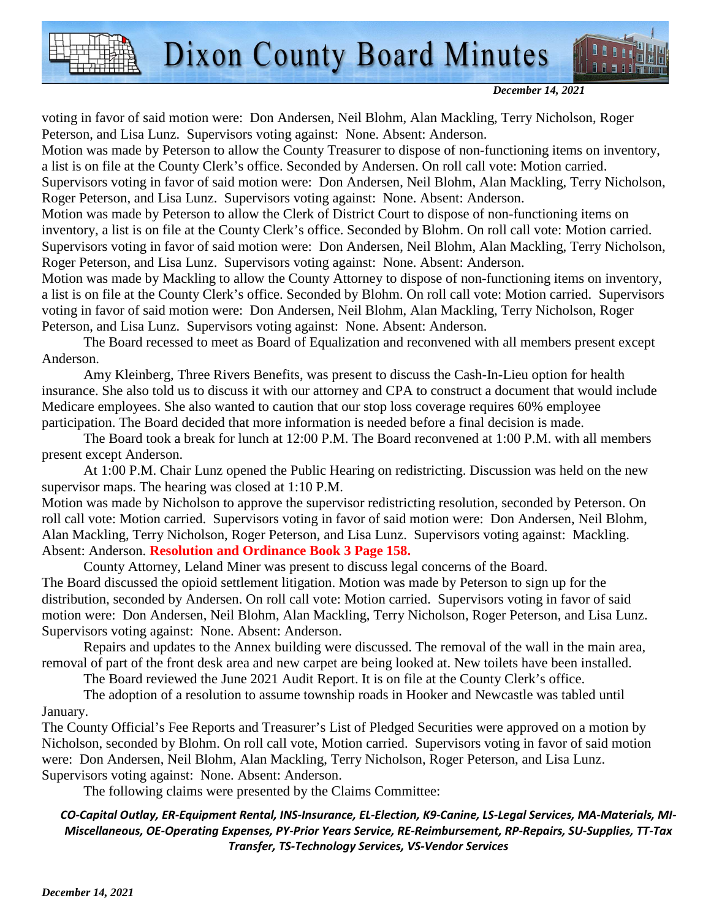

#### *December 14, 2021*

voting in favor of said motion were: Don Andersen, Neil Blohm, Alan Mackling, Terry Nicholson, Roger Peterson, and Lisa Lunz. Supervisors voting against: None. Absent: Anderson.

Motion was made by Peterson to allow the County Treasurer to dispose of non-functioning items on inventory, a list is on file at the County Clerk's office. Seconded by Andersen. On roll call vote: Motion carried.

Supervisors voting in favor of said motion were: Don Andersen, Neil Blohm, Alan Mackling, Terry Nicholson, Roger Peterson, and Lisa Lunz. Supervisors voting against: None. Absent: Anderson.

Motion was made by Peterson to allow the Clerk of District Court to dispose of non-functioning items on inventory, a list is on file at the County Clerk's office. Seconded by Blohm. On roll call vote: Motion carried. Supervisors voting in favor of said motion were: Don Andersen, Neil Blohm, Alan Mackling, Terry Nicholson, Roger Peterson, and Lisa Lunz. Supervisors voting against: None. Absent: Anderson.

Motion was made by Mackling to allow the County Attorney to dispose of non-functioning items on inventory, a list is on file at the County Clerk's office. Seconded by Blohm. On roll call vote: Motion carried. Supervisors voting in favor of said motion were: Don Andersen, Neil Blohm, Alan Mackling, Terry Nicholson, Roger Peterson, and Lisa Lunz. Supervisors voting against: None. Absent: Anderson.

The Board recessed to meet as Board of Equalization and reconvened with all members present except Anderson.

Amy Kleinberg, Three Rivers Benefits, was present to discuss the Cash-In-Lieu option for health insurance. She also told us to discuss it with our attorney and CPA to construct a document that would include Medicare employees. She also wanted to caution that our stop loss coverage requires 60% employee participation. The Board decided that more information is needed before a final decision is made.

The Board took a break for lunch at 12:00 P.M. The Board reconvened at 1:00 P.M. with all members present except Anderson.

At 1:00 P.M. Chair Lunz opened the Public Hearing on redistricting. Discussion was held on the new supervisor maps. The hearing was closed at 1:10 P.M.

Motion was made by Nicholson to approve the supervisor redistricting resolution, seconded by Peterson. On roll call vote: Motion carried. Supervisors voting in favor of said motion were: Don Andersen, Neil Blohm, Alan Mackling, Terry Nicholson, Roger Peterson, and Lisa Lunz. Supervisors voting against: Mackling. Absent: Anderson. **Resolution and Ordinance Book 3 Page 158.** 

County Attorney, Leland Miner was present to discuss legal concerns of the Board. The Board discussed the opioid settlement litigation. Motion was made by Peterson to sign up for the distribution, seconded by Andersen. On roll call vote: Motion carried. Supervisors voting in favor of said motion were: Don Andersen, Neil Blohm, Alan Mackling, Terry Nicholson, Roger Peterson, and Lisa Lunz. Supervisors voting against: None. Absent: Anderson.

Repairs and updates to the Annex building were discussed. The removal of the wall in the main area, removal of part of the front desk area and new carpet are being looked at. New toilets have been installed.

The Board reviewed the June 2021 Audit Report. It is on file at the County Clerk's office.

The adoption of a resolution to assume township roads in Hooker and Newcastle was tabled until January.

The County Official's Fee Reports and Treasurer's List of Pledged Securities were approved on a motion by Nicholson, seconded by Blohm. On roll call vote, Motion carried. Supervisors voting in favor of said motion were: Don Andersen, Neil Blohm, Alan Mackling, Terry Nicholson, Roger Peterson, and Lisa Lunz. Supervisors voting against: None. Absent: Anderson.

The following claims were presented by the Claims Committee:

### *CO-Capital Outlay, ER-Equipment Rental, INS-Insurance, EL-Election, K9-Canine, LS-Legal Services, MA-Materials, MI-Miscellaneous, OE-Operating Expenses, PY-Prior Years Service, RE-Reimbursement, RP-Repairs, SU-Supplies, TT-Tax Transfer, TS-Technology Services, VS-Vendor Services*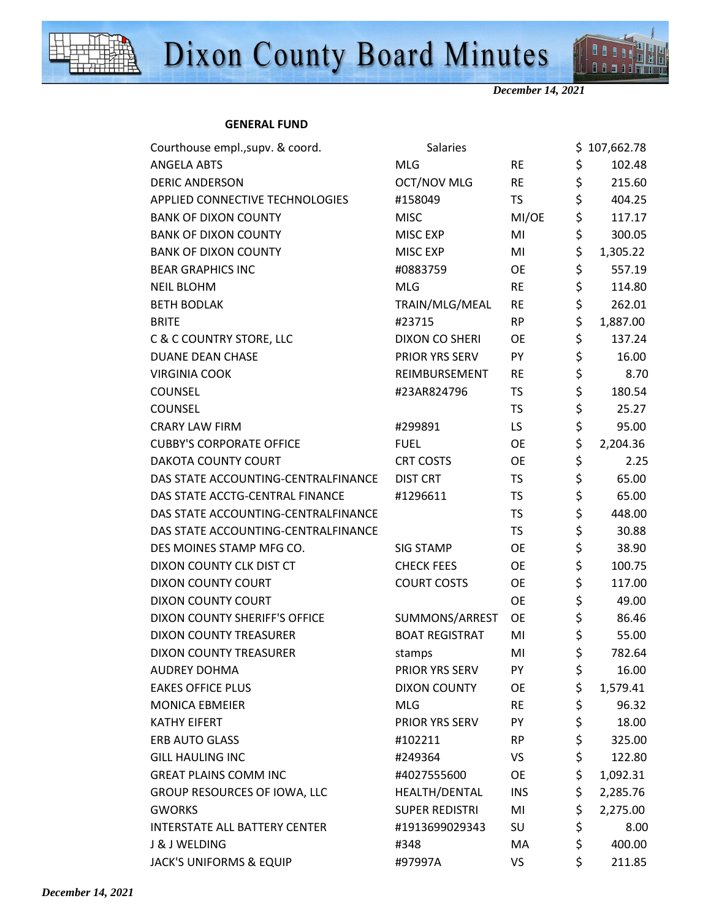



111 88588

#### **GENERAL FUND**

| Courthouse empl., supv. & coord.     | <b>Salaries</b>       |            |                                | \$107,662.78 |
|--------------------------------------|-----------------------|------------|--------------------------------|--------------|
| <b>ANGELA ABTS</b>                   | <b>MLG</b>            | <b>RE</b>  | \$                             | 102.48       |
| <b>DERIC ANDERSON</b>                | OCT/NOV MLG           | <b>RE</b>  | \$                             | 215.60       |
| APPLIED CONNECTIVE TECHNOLOGIES      | #158049               | <b>TS</b>  | \$                             | 404.25       |
| <b>BANK OF DIXON COUNTY</b>          | <b>MISC</b>           | MI/OE      | \$                             | 117.17       |
| <b>BANK OF DIXON COUNTY</b>          | MISC EXP              | MI         | \$                             | 300.05       |
| <b>BANK OF DIXON COUNTY</b>          | MISC EXP              | MI         | \$                             | 1,305.22     |
| <b>BEAR GRAPHICS INC</b>             | #0883759              | <b>OE</b>  | \$                             | 557.19       |
| <b>NEIL BLOHM</b>                    | <b>MLG</b>            | RE         | \$                             | 114.80       |
| <b>BETH BODLAK</b>                   | TRAIN/MLG/MEAL        | <b>RE</b>  | $\boldsymbol{\dot{\varsigma}}$ | 262.01       |
| <b>BRITE</b>                         | #23715                | <b>RP</b>  | \$                             | 1,887.00     |
| C & C COUNTRY STORE, LLC             | DIXON CO SHERI        | <b>OE</b>  | \$                             | 137.24       |
| DUANE DEAN CHASE                     | PRIOR YRS SERV        | PY         | \$                             | 16.00        |
| <b>VIRGINIA COOK</b>                 | REIMBURSEMENT         | <b>RE</b>  | \$                             | 8.70         |
| <b>COUNSEL</b>                       | #23AR824796           | <b>TS</b>  | \$                             | 180.54       |
| <b>COUNSEL</b>                       |                       | <b>TS</b>  | \$                             | 25.27        |
| <b>CRARY LAW FIRM</b>                | #299891               | LS.        | \$                             | 95.00        |
| <b>CUBBY'S CORPORATE OFFICE</b>      | <b>FUEL</b>           | <b>OE</b>  | \$                             | 2,204.36     |
| DAKOTA COUNTY COURT                  | <b>CRT COSTS</b>      | <b>OE</b>  | \$                             | 2.25         |
| DAS STATE ACCOUNTING-CENTRALFINANCE  | <b>DIST CRT</b>       | TS         | \$                             | 65.00        |
| DAS STATE ACCTG-CENTRAL FINANCE      | #1296611              | <b>TS</b>  | \$                             | 65.00        |
| DAS STATE ACCOUNTING-CENTRALFINANCE  |                       | <b>TS</b>  | \$                             | 448.00       |
| DAS STATE ACCOUNTING-CENTRALFINANCE  |                       | <b>TS</b>  | \$                             | 30.88        |
| DES MOINES STAMP MFG CO.             | SIG STAMP             | <b>OE</b>  | \$                             | 38.90        |
| DIXON COUNTY CLK DIST CT             | <b>CHECK FEES</b>     | OE         | \$                             | 100.75       |
| DIXON COUNTY COURT                   | <b>COURT COSTS</b>    | OE         | \$                             | 117.00       |
| DIXON COUNTY COURT                   |                       | OE         | \$                             | 49.00        |
| DIXON COUNTY SHERIFF'S OFFICE        | SUMMONS/ARREST        | OE         | \$                             | 86.46        |
| <b>DIXON COUNTY TREASURER</b>        | <b>BOAT REGISTRAT</b> | MI         | \$                             | 55.00        |
| DIXON COUNTY TREASURER               | stamps                | MI         | \$                             | 782.64       |
| <b>AUDREY DOHMA</b>                  | PRIOR YRS SERV        | PY         | \$                             | 16.00        |
| <b>EAKES OFFICE PLUS</b>             | <b>DIXON COUNTY</b>   | OE         | \$                             | 1,579.41     |
| <b>MONICA EBMEIER</b>                | <b>MLG</b>            | <b>RE</b>  | \$                             | 96.32        |
| <b>KATHY EIFERT</b>                  | PRIOR YRS SERV        | PY         | \$                             | 18.00        |
| ERB AUTO GLASS                       | #102211               | <b>RP</b>  | \$                             | 325.00       |
| <b>GILL HAULING INC</b>              | #249364               | VS         | \$                             | 122.80       |
| <b>GREAT PLAINS COMM INC</b>         | #4027555600           | OE         | \$                             | 1,092.31     |
| GROUP RESOURCES OF IOWA, LLC         | HEALTH/DENTAL         | <b>INS</b> | \$                             | 2,285.76     |
| <b>GWORKS</b>                        | SUPER REDISTRI        | MI         | \$                             | 2,275.00     |
| <b>INTERSTATE ALL BATTERY CENTER</b> | #1913699029343        | SU         | \$                             | 8.00         |
| <b>J &amp; J WELDING</b>             | #348                  | MA         | \$                             | 400.00       |
| JACK'S UNIFORMS & EQUIP              | #97997A               | VS         | \$                             | 211.85       |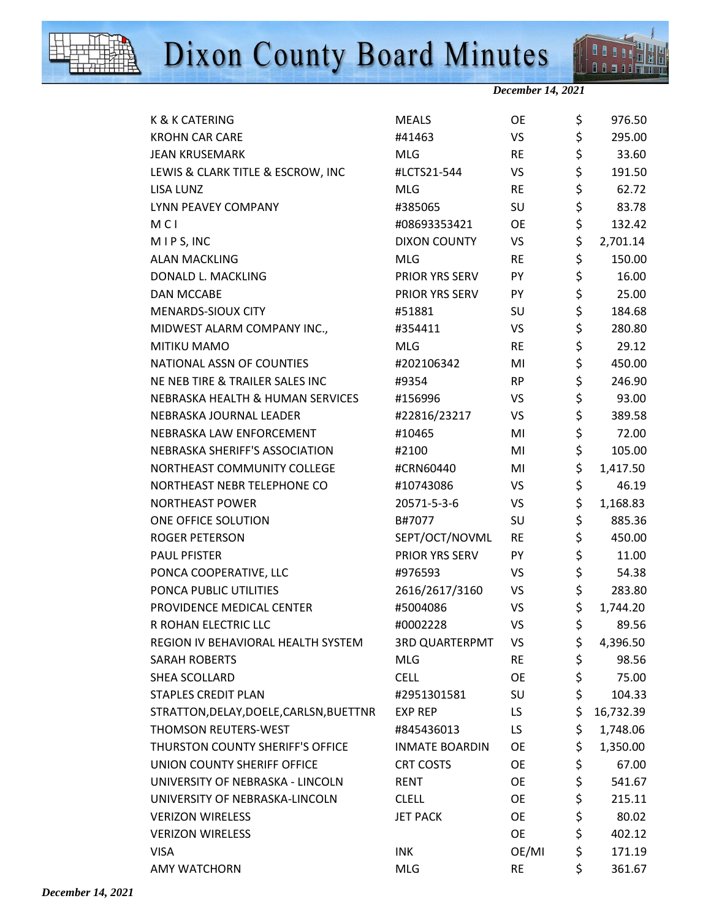



 $\overline{\mathbf{H}}$ 88588

| K & K CATERING                          | <b>MEALS</b>          | <b>OE</b> | \$<br>976.50    |
|-----------------------------------------|-----------------------|-----------|-----------------|
| <b>KROHN CAR CARE</b>                   | #41463                | VS        | \$<br>295.00    |
| <b>JEAN KRUSEMARK</b>                   | <b>MLG</b>            | <b>RE</b> | \$<br>33.60     |
| LEWIS & CLARK TITLE & ESCROW, INC       | #LCTS21-544           | VS        | \$<br>191.50    |
| LISA LUNZ                               | <b>MLG</b>            | <b>RE</b> | \$<br>62.72     |
| LYNN PEAVEY COMPANY                     | #385065               | SU        | \$<br>83.78     |
| <b>MCI</b>                              | #08693353421          | <b>OE</b> | \$<br>132.42    |
| MIPS, INC                               | <b>DIXON COUNTY</b>   | VS        | \$<br>2,701.14  |
| <b>ALAN MACKLING</b>                    | <b>MLG</b>            | <b>RE</b> | \$<br>150.00    |
| DONALD L. MACKLING                      | PRIOR YRS SERV        | PY        | \$<br>16.00     |
| <b>DAN MCCABE</b>                       | PRIOR YRS SERV        | PY        | \$<br>25.00     |
| MENARDS-SIOUX CITY                      | #51881                | SU        | \$<br>184.68    |
| MIDWEST ALARM COMPANY INC.,             | #354411               | VS        | \$<br>280.80    |
| MITIKU MAMO                             | <b>MLG</b>            | <b>RE</b> | \$<br>29.12     |
| NATIONAL ASSN OF COUNTIES               | #202106342            | MI        | \$<br>450.00    |
| NE NEB TIRE & TRAILER SALES INC         | #9354                 | <b>RP</b> | \$<br>246.90    |
| NEBRASKA HEALTH & HUMAN SERVICES        | #156996               | VS        | \$<br>93.00     |
| NEBRASKA JOURNAL LEADER                 | #22816/23217          | VS        | \$<br>389.58    |
| NEBRASKA LAW ENFORCEMENT                | #10465                | MI        | \$<br>72.00     |
| NEBRASKA SHERIFF'S ASSOCIATION          | #2100                 | MI        | \$<br>105.00    |
| NORTHEAST COMMUNITY COLLEGE             | #CRN60440             | MI        | \$<br>1,417.50  |
| NORTHEAST NEBR TELEPHONE CO             | #10743086             | VS        | \$<br>46.19     |
| <b>NORTHEAST POWER</b>                  | 20571-5-3-6           | VS        | \$<br>1,168.83  |
| ONE OFFICE SOLUTION                     | B#7077                | SU        | \$<br>885.36    |
| <b>ROGER PETERSON</b>                   | SEPT/OCT/NOVML        | <b>RE</b> | \$<br>450.00    |
| <b>PAUL PFISTER</b>                     | PRIOR YRS SERV        | PY        | \$<br>11.00     |
| PONCA COOPERATIVE, LLC                  | #976593               | VS        | \$<br>54.38     |
| PONCA PUBLIC UTILITIES                  | 2616/2617/3160        | VS        | \$<br>283.80    |
| PROVIDENCE MEDICAL CENTER               | #5004086              | VS        | \$<br>1,744.20  |
| R ROHAN ELECTRIC LLC                    | #0002228              | VS        | \$<br>89.56     |
| REGION IV BEHAVIORAL HEALTH SYSTEM      | <b>3RD QUARTERPMT</b> | VS        | \$<br>4,396.50  |
| <b>SARAH ROBERTS</b>                    | <b>MLG</b>            | <b>RE</b> | \$<br>98.56     |
| SHEA SCOLLARD                           | <b>CELL</b>           | OE        | \$<br>75.00     |
| <b>STAPLES CREDIT PLAN</b>              | #2951301581           | SU        | \$<br>104.33    |
| STRATTON, DELAY, DOELE, CARLSN, BUETTNR | <b>EXP REP</b>        | LS.       | \$<br>16,732.39 |
| THOMSON REUTERS-WEST                    | #845436013            | LS.       | \$<br>1,748.06  |
| THURSTON COUNTY SHERIFF'S OFFICE        | <b>INMATE BOARDIN</b> | <b>OE</b> | \$<br>1,350.00  |
| UNION COUNTY SHERIFF OFFICE             | <b>CRT COSTS</b>      | OE        | \$<br>67.00     |
| UNIVERSITY OF NEBRASKA - LINCOLN        | <b>RENT</b>           | <b>OE</b> | \$<br>541.67    |
| UNIVERSITY OF NEBRASKA-LINCOLN          | <b>CLELL</b>          | OE        | \$<br>215.11    |
| <b>VERIZON WIRELESS</b>                 | <b>JET PACK</b>       | OE        | \$<br>80.02     |
| <b>VERIZON WIRELESS</b>                 |                       | OE        | \$<br>402.12    |
| <b>VISA</b>                             | <b>INK</b>            | OE/MI     | \$<br>171.19    |
| <b>AMY WATCHORN</b>                     | <b>MLG</b>            | <b>RE</b> | \$<br>361.67    |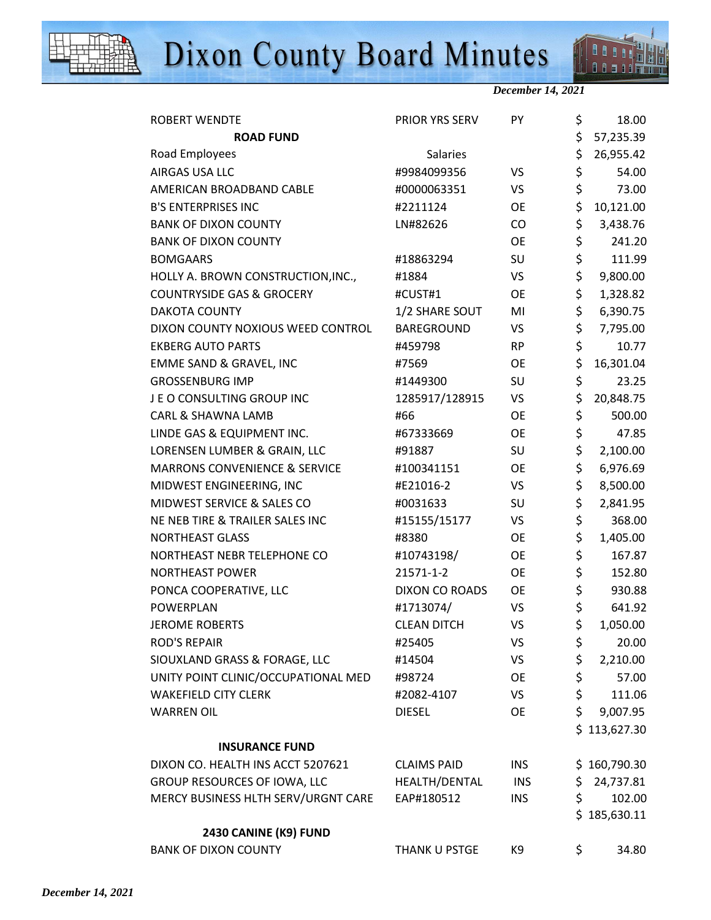



*December 14, 2021* 

| ROBERT WENDTE                        | PRIOR YRS SERV     | PY         | \$  | 18.00        |
|--------------------------------------|--------------------|------------|-----|--------------|
| <b>ROAD FUND</b>                     |                    |            | \$  | 57,235.39    |
| Road Employees                       | Salaries           |            | \$  | 26,955.42    |
| AIRGAS USA LLC                       | #9984099356        | VS         | \$  | 54.00        |
| AMERICAN BROADBAND CABLE             | #0000063351        | <b>VS</b>  | \$  | 73.00        |
| <b>B'S ENTERPRISES INC</b>           | #2211124           | OE         | \$  | 10,121.00    |
| <b>BANK OF DIXON COUNTY</b>          | LN#82626           | CO         | \$  | 3,438.76     |
| <b>BANK OF DIXON COUNTY</b>          |                    | <b>OE</b>  | \$  | 241.20       |
| <b>BOMGAARS</b>                      | #18863294          | SU         | \$  | 111.99       |
| HOLLY A. BROWN CONSTRUCTION, INC.,   | #1884              | VS         | \$  | 9,800.00     |
| <b>COUNTRYSIDE GAS &amp; GROCERY</b> | #CUST#1            | OE         | \$  | 1,328.82     |
| <b>DAKOTA COUNTY</b>                 | 1/2 SHARE SOUT     | MI         | \$  | 6,390.75     |
| DIXON COUNTY NOXIOUS WEED CONTROL    | BAREGROUND         | VS         | \$  | 7,795.00     |
| <b>EKBERG AUTO PARTS</b>             | #459798            | <b>RP</b>  | \$  | 10.77        |
| EMME SAND & GRAVEL, INC              | #7569              | OE         | \$  | 16,301.04    |
| <b>GROSSENBURG IMP</b>               | #1449300           | SU         | \$  | 23.25        |
| JE O CONSULTING GROUP INC            | 1285917/128915     | VS         | \$  | 20,848.75    |
| CARL & SHAWNA LAMB                   | #66                | <b>OE</b>  | \$  | 500.00       |
| LINDE GAS & EQUIPMENT INC.           | #67333669          | <b>OE</b>  | \$  | 47.85        |
| LORENSEN LUMBER & GRAIN, LLC         | #91887             | SU         | \$  | 2,100.00     |
| MARRONS CONVENIENCE & SERVICE        | #100341151         | OE         | \$  | 6,976.69     |
| MIDWEST ENGINEERING, INC             | #E21016-2          | VS         | \$  | 8,500.00     |
| MIDWEST SERVICE & SALES CO           | #0031633           | SU         | \$  | 2,841.95     |
| NE NEB TIRE & TRAILER SALES INC      | #15155/15177       | VS         | \$  | 368.00       |
| NORTHEAST GLASS                      | #8380              | <b>OE</b>  | \$  | 1,405.00     |
| NORTHEAST NEBR TELEPHONE CO          | #10743198/         | <b>OE</b>  | \$  | 167.87       |
| <b>NORTHEAST POWER</b>               | 21571-1-2          | OE         | \$  | 152.80       |
| PONCA COOPERATIVE, LLC               | DIXON CO ROADS     | OE         | \$  | 930.88       |
| POWERPLAN                            | #1713074/          | <b>VS</b>  | \$  | 641.92       |
| <b>JEROME ROBERTS</b>                | <b>CLEAN DITCH</b> | VS         | \$  | 1,050.00     |
| <b>ROD'S REPAIR</b>                  | #25405             | <b>VS</b>  | \$  | 20.00        |
| SIOUXLAND GRASS & FORAGE, LLC        | #14504             | VS         | \$  | 2,210.00     |
| UNITY POINT CLINIC/OCCUPATIONAL MED  | #98724             | OE         | \$  | 57.00        |
| <b>WAKEFIELD CITY CLERK</b>          | #2082-4107         | VS         | \$  | 111.06       |
| <b>WARREN OIL</b>                    | <b>DIESEL</b>      | <b>OE</b>  | \$  | 9,007.95     |
|                                      |                    |            |     | \$113,627.30 |
| <b>INSURANCE FUND</b>                |                    |            |     |              |
| DIXON CO. HEALTH INS ACCT 5207621    | <b>CLAIMS PAID</b> | INS        |     | \$160,790.30 |
| GROUP RESOURCES OF IOWA, LLC         | HEALTH/DENTAL      | <b>INS</b> | \$  | 24,737.81    |
| MERCY BUSINESS HLTH SERV/URGNT CARE  | EAP#180512         | <b>INS</b> | \$  | 102.00       |
|                                      |                    |            |     | \$185,630.11 |
| 2430 CANINE (K9) FUND                |                    |            |     |              |
| <b>BANK OF DIXON COUNTY</b>          | THANK U PSTGE      | K9         | \$. | 34.80        |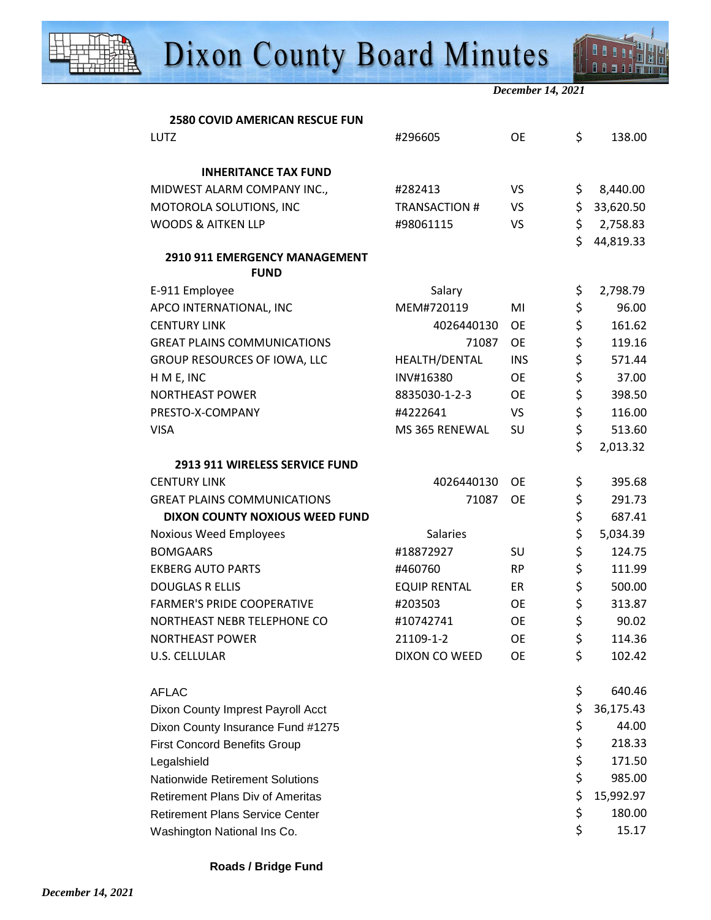

*December 14, 2021* 

| <b>2580 COVID AMERICAN RESCUE FUN</b>   |                      |            |                 |
|-----------------------------------------|----------------------|------------|-----------------|
| <b>LUTZ</b>                             | #296605              | <b>OE</b>  | \$<br>138.00    |
| <b>INHERITANCE TAX FUND</b>             |                      |            |                 |
| MIDWEST ALARM COMPANY INC.,             | #282413              | <b>VS</b>  | \$<br>8,440.00  |
| MOTOROLA SOLUTIONS, INC                 | <b>TRANSACTION #</b> | <b>VS</b>  | \$<br>33,620.50 |
| <b>WOODS &amp; AITKEN LLP</b>           | #98061115            | VS         | \$<br>2,758.83  |
|                                         |                      |            | \$<br>44,819.33 |
| 2910 911 EMERGENCY MANAGEMENT           |                      |            |                 |
| <b>FUND</b>                             |                      |            |                 |
| E-911 Employee                          | Salary               |            | \$<br>2,798.79  |
| APCO INTERNATIONAL, INC                 | MEM#720119           | MI         | \$<br>96.00     |
| <b>CENTURY LINK</b>                     | 4026440130           | <b>OE</b>  | \$<br>161.62    |
| <b>GREAT PLAINS COMMUNICATIONS</b>      | 71087                | <b>OE</b>  | \$<br>119.16    |
| GROUP RESOURCES OF IOWA, LLC            | HEALTH/DENTAL        | <b>INS</b> | \$<br>571.44    |
| H M E, INC                              | INV#16380            | <b>OE</b>  | \$<br>37.00     |
| <b>NORTHEAST POWER</b>                  | 8835030-1-2-3        | <b>OE</b>  | \$<br>398.50    |
| PRESTO-X-COMPANY                        | #4222641             | VS         | \$<br>116.00    |
| <b>VISA</b>                             | MS 365 RENEWAL       | SU         | \$<br>513.60    |
|                                         |                      |            | \$<br>2,013.32  |
| 2913 911 WIRELESS SERVICE FUND          |                      |            |                 |
| <b>CENTURY LINK</b>                     | 4026440130           | <b>OE</b>  | \$<br>395.68    |
| <b>GREAT PLAINS COMMUNICATIONS</b>      | 71087                | <b>OE</b>  | \$<br>291.73    |
| DIXON COUNTY NOXIOUS WEED FUND          |                      |            | \$<br>687.41    |
| Noxious Weed Employees                  | <b>Salaries</b>      |            | \$<br>5,034.39  |
| <b>BOMGAARS</b>                         | #18872927            | SU         | \$<br>124.75    |
| <b>EKBERG AUTO PARTS</b>                | #460760              | <b>RP</b>  | \$<br>111.99    |
| <b>DOUGLAS R ELLIS</b>                  | <b>EQUIP RENTAL</b>  | ER         | \$<br>500.00    |
| <b>FARMER'S PRIDE COOPERATIVE</b>       | #203503              | <b>OE</b>  | \$<br>313.87    |
| NORTHEAST NEBR TELEPHONE CO             | #10742741            | <b>OE</b>  | \$<br>90.02     |
| <b>NORTHEAST POWER</b>                  | 21109-1-2            | <b>OE</b>  | \$<br>114.36    |
| <b>U.S. CELLULAR</b>                    | DIXON CO WEED        | <b>OE</b>  | \$<br>102.42    |
| <b>AFLAC</b>                            |                      |            | \$<br>640.46    |
| Dixon County Imprest Payroll Acct       |                      |            | \$<br>36,175.43 |
| Dixon County Insurance Fund #1275       |                      |            | \$<br>44.00     |
| <b>First Concord Benefits Group</b>     |                      |            | \$<br>218.33    |
| Legalshield                             |                      |            | \$<br>171.50    |
| <b>Nationwide Retirement Solutions</b>  |                      |            | \$<br>985.00    |
| <b>Retirement Plans Div of Ameritas</b> |                      |            | \$<br>15,992.97 |
| <b>Retirement Plans Service Center</b>  |                      |            | \$<br>180.00    |
| Washington National Ins Co.             |                      |            | \$<br>15.17     |
|                                         |                      |            |                 |

**Roads / Bridge Fund**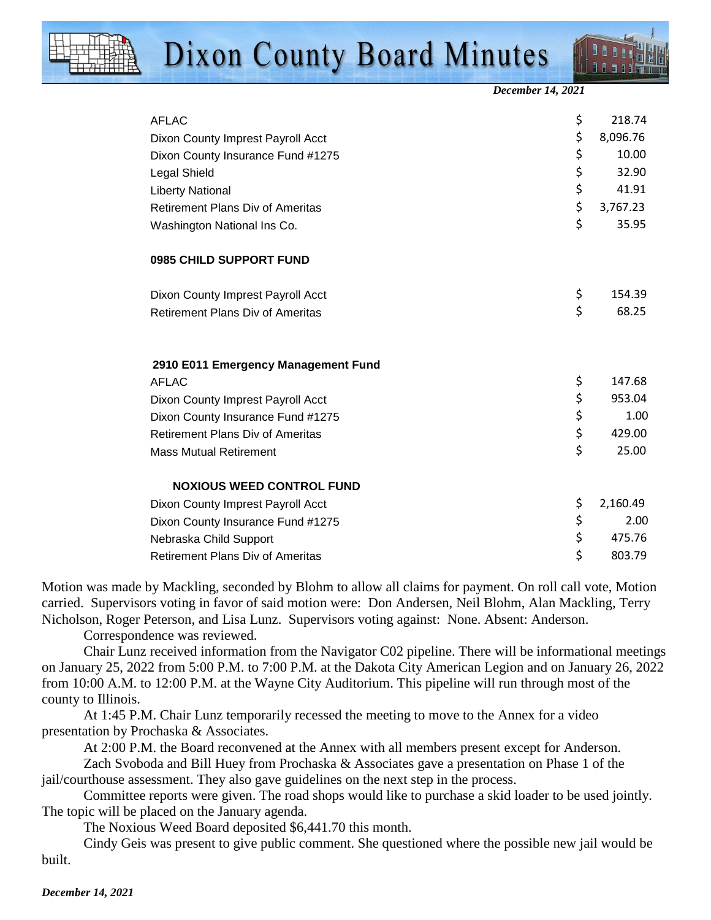*December 14, 2021* 

| <b>AFLAC</b>                            | \$<br>218.74   |
|-----------------------------------------|----------------|
| Dixon County Imprest Payroll Acct       | \$<br>8,096.76 |
| Dixon County Insurance Fund #1275       | \$<br>10.00    |
| Legal Shield                            | \$<br>32.90    |
| <b>Liberty National</b>                 | \$<br>41.91    |
| <b>Retirement Plans Div of Ameritas</b> | \$<br>3,767.23 |
| Washington National Ins Co.             | \$<br>35.95    |
| 0985 CHILD SUPPORT FUND                 |                |
| Dixon County Imprest Payroll Acct       | \$<br>154.39   |
| <b>Retirement Plans Div of Ameritas</b> | \$<br>68.25    |
| 2910 E011 Emergency Management Fund     |                |
| <b>AFLAC</b>                            | \$<br>147.68   |
| Dixon County Imprest Payroll Acct       | \$<br>953.04   |
| Dixon County Insurance Fund #1275       | \$<br>1.00     |
| <b>Retirement Plans Div of Ameritas</b> | \$<br>429.00   |
| <b>Mass Mutual Retirement</b>           | \$<br>25.00    |
| <b>NOXIOUS WEED CONTROL FUND</b>        |                |
| Dixon County Imprest Payroll Acct       | \$<br>2,160.49 |
| Dixon County Insurance Fund #1275       | \$<br>2.00     |
| Nebraska Child Support                  | \$<br>475.76   |
| Retirement Plans Div of Ameritas        | \$<br>803.79   |

Motion was made by Mackling, seconded by Blohm to allow all claims for payment. On roll call vote, Motion carried. Supervisors voting in favor of said motion were: Don Andersen, Neil Blohm, Alan Mackling, Terry Nicholson, Roger Peterson, and Lisa Lunz. Supervisors voting against: None. Absent: Anderson.

Correspondence was reviewed.

Chair Lunz received information from the Navigator C02 pipeline. There will be informational meetings on January 25, 2022 from 5:00 P.M. to 7:00 P.M. at the Dakota City American Legion and on January 26, 2022 from 10:00 A.M. to 12:00 P.M. at the Wayne City Auditorium. This pipeline will run through most of the county to Illinois.

At 1:45 P.M. Chair Lunz temporarily recessed the meeting to move to the Annex for a video presentation by Prochaska & Associates.

At 2:00 P.M. the Board reconvened at the Annex with all members present except for Anderson.

Zach Svoboda and Bill Huey from Prochaska & Associates gave a presentation on Phase 1 of the jail/courthouse assessment. They also gave guidelines on the next step in the process.

Committee reports were given. The road shops would like to purchase a skid loader to be used jointly. The topic will be placed on the January agenda.

The Noxious Weed Board deposited \$6,441.70 this month.

Cindy Geis was present to give public comment. She questioned where the possible new jail would be built.